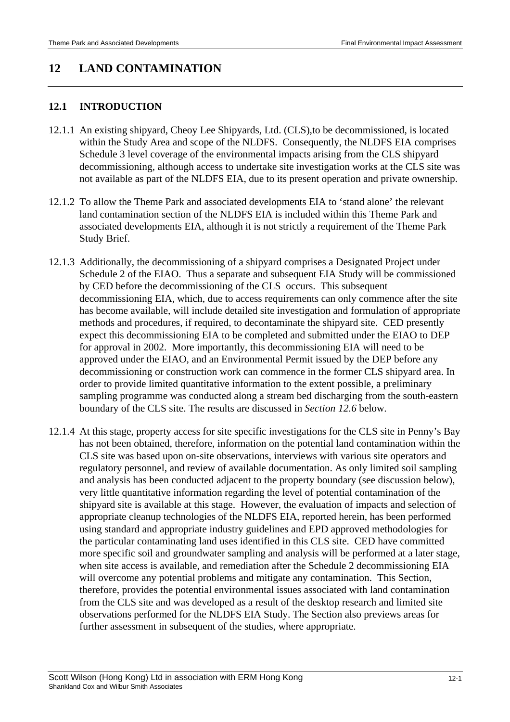# **12 LAND CONTAMINATION**

# **12.1 INTRODUCTION**

- 12.1.1 An existing shipyard, Cheoy Lee Shipyards, Ltd. (CLS),to be decommissioned, is located within the Study Area and scope of the NLDFS. Consequently, the NLDFS EIA comprises Schedule 3 level coverage of the environmental impacts arising from the CLS shipyard decommissioning, although access to undertake site investigation works at the CLS site was not available as part of the NLDFS EIA, due to its present operation and private ownership.
- 12.1.2 To allow the Theme Park and associated developments EIA to 'stand alone' the relevant land contamination section of the NLDFS EIA is included within this Theme Park and associated developments EIA, although it is not strictly a requirement of the Theme Park Study Brief.
- 12.1.3 Additionally, the decommissioning of a shipyard comprises a Designated Project under Schedule 2 of the EIAO. Thus a separate and subsequent EIA Study will be commissioned by CED before the decommissioning of the CLS occurs. This subsequent decommissioning EIA, which, due to access requirements can only commence after the site has become available, will include detailed site investigation and formulation of appropriate methods and procedures, if required, to decontaminate the shipyard site. CED presently expect this decommissioning EIA to be completed and submitted under the EIAO to DEP for approval in 2002. More importantly, this decommissioning EIA will need to be approved under the EIAO, and an Environmental Permit issued by the DEP before any decommissioning or construction work can commence in the former CLS shipyard area. In order to provide limited quantitative information to the extent possible, a preliminary sampling programme was conducted along a stream bed discharging from the south-eastern boundary of the CLS site. The results are discussed in *Section 12.6* below.
- 12.1.4 At this stage, property access for site specific investigations for the CLS site in Penny's Bay has not been obtained, therefore, information on the potential land contamination within the CLS site was based upon on-site observations, interviews with various site operators and regulatory personnel, and review of available documentation. As only limited soil sampling and analysis has been conducted adjacent to the property boundary (see discussion below), very little quantitative information regarding the level of potential contamination of the shipyard site is available at this stage. However, the evaluation of impacts and selection of appropriate cleanup technologies of the NLDFS EIA, reported herein, has been performed using standard and appropriate industry guidelines and EPD approved methodologies for the particular contaminating land uses identified in this CLS site. CED have committed more specific soil and groundwater sampling and analysis will be performed at a later stage, when site access is available, and remediation after the Schedule 2 decommissioning EIA will overcome any potential problems and mitigate any contamination. This Section, therefore, provides the potential environmental issues associated with land contamination from the CLS site and was developed as a result of the desktop research and limited site observations performed for the NLDFS EIA Study. The Section also previews areas for further assessment in subsequent of the studies, where appropriate.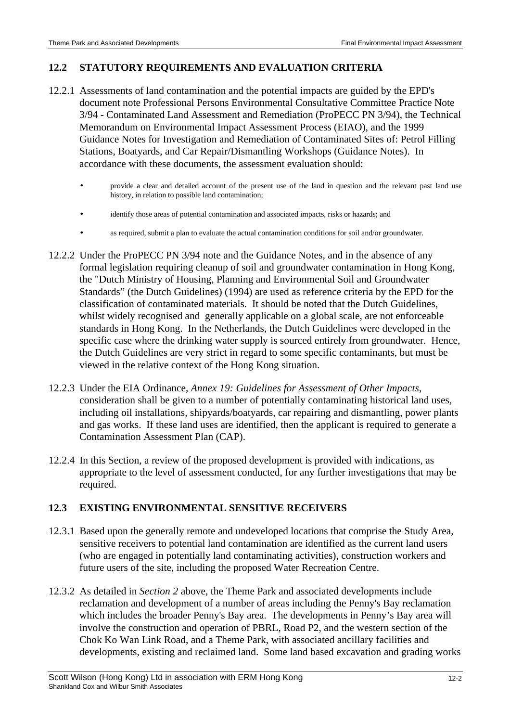#### **12.2 STATUTORY REQUIREMENTS AND EVALUATION CRITERIA**

- 12.2.1 Assessments of land contamination and the potential impacts are guided by the EPD's document note Professional Persons Environmental Consultative Committee Practice Note 3/94 - Contaminated Land Assessment and Remediation (ProPECC PN 3/94), the Technical Memorandum on Environmental Impact Assessment Process (EIAO), and the 1999 Guidance Notes for Investigation and Remediation of Contaminated Sites of: Petrol Filling Stations, Boatyards, and Car Repair/Dismantling Workshops (Guidance Notes). In accordance with these documents, the assessment evaluation should:
	- provide a clear and detailed account of the present use of the land in question and the relevant past land use history, in relation to possible land contamination;
	- identify those areas of potential contamination and associated impacts, risks or hazards; and
	- as required, submit a plan to evaluate the actual contamination conditions for soil and/or groundwater.
- 12.2.2 Under the ProPECC PN 3/94 note and the Guidance Notes, and in the absence of any formal legislation requiring cleanup of soil and groundwater contamination in Hong Kong, the "Dutch Ministry of Housing, Planning and Environmental Soil and Groundwater Standards" (the Dutch Guidelines) (1994) are used as reference criteria by the EPD for the classification of contaminated materials. It should be noted that the Dutch Guidelines, whilst widely recognised and generally applicable on a global scale, are not enforceable standards in Hong Kong. In the Netherlands, the Dutch Guidelines were developed in the specific case where the drinking water supply is sourced entirely from groundwater. Hence, the Dutch Guidelines are very strict in regard to some specific contaminants, but must be viewed in the relative context of the Hong Kong situation.
- 12.2.3 Under the EIA Ordinance, *Annex 19: Guidelines for Assessment of Other Impacts*, consideration shall be given to a number of potentially contaminating historical land uses, including oil installations, shipyards/boatyards, car repairing and dismantling, power plants and gas works. If these land uses are identified, then the applicant is required to generate a Contamination Assessment Plan (CAP).
- 12.2.4 In this Section, a review of the proposed development is provided with indications, as appropriate to the level of assessment conducted, for any further investigations that may be required.

## **12.3 EXISTING ENVIRONMENTAL SENSITIVE RECEIVERS**

- 12.3.1 Based upon the generally remote and undeveloped locations that comprise the Study Area, sensitive receivers to potential land contamination are identified as the current land users (who are engaged in potentially land contaminating activities), construction workers and future users of the site, including the proposed Water Recreation Centre.
- 12.3.2 As detailed in *Section 2* above, the Theme Park and associated developments include reclamation and development of a number of areas including the Penny's Bay reclamation which includes the broader Penny's Bay area. The developments in Penny's Bay area will involve the construction and operation of PBRL, Road P2, and the western section of the Chok Ko Wan Link Road, and a Theme Park, with associated ancillary facilities and developments, existing and reclaimed land. Some land based excavation and grading works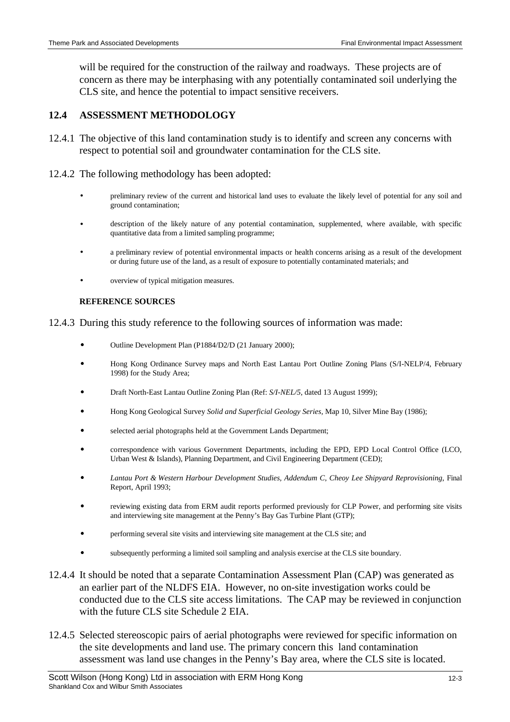will be required for the construction of the railway and roadways. These projects are of concern as there may be interphasing with any potentially contaminated soil underlying the CLS site, and hence the potential to impact sensitive receivers.

# **12.4 ASSESSMENT METHODOLOGY**

- 12.4.1 The objective of this land contamination study is to identify and screen any concerns with respect to potential soil and groundwater contamination for the CLS site.
- 12.4.2 The following methodology has been adopted:
	- preliminary review of the current and historical land uses to evaluate the likely level of potential for any soil and ground contamination;
	- description of the likely nature of any potential contamination, supplemented, where available, with specific quantitative data from a limited sampling programme;
	- a preliminary review of potential environmental impacts or health concerns arising as a result of the development or during future use of the land, as a result of exposure to potentially contaminated materials; and
	- overview of typical mitigation measures.

#### **REFERENCE SOURCES**

12.4.3 During this study reference to the following sources of information was made:

- $\overline{a}$ Outline Development Plan (P1884/D2/D (21 January 2000);
- $\overline{a}$  Hong Kong Ordinance Survey maps and North East Lantau Port Outline Zoning Plans (S/I-NELP/4, February 1998) for the Study Area;
- $\bullet$ Draft North-East Lantau Outline Zoning Plan (Ref: *S/I-NEL/5*, dated 13 August 1999);
- $\bullet$ Hong Kong Geological Survey *Solid and Superficial Geology Series,* Map 10, Silver Mine Bay (1986);
- $\overline{a}$ selected aerial photographs held at the Government Lands Department;
- $\overline{a}$  correspondence with various Government Departments, including the EPD, EPD Local Control Office (LCO, Urban West & Islands), Planning Department, and Civil Engineering Department (CED);
- $\overline{a}$  *Lantau Port & Western Harbour Development Studies, Addendum C, Cheoy Lee Shipyard Reprovisioning*, Final Report, April 1993;
- $\overline{a}$  reviewing existing data from ERM audit reports performed previously for CLP Power, and performing site visits and interviewing site management at the Penny's Bay Gas Turbine Plant (GTP);
- $\overline{a}$ performing several site visits and interviewing site management at the CLS site; and
- $\overline{a}$ subsequently performing a limited soil sampling and analysis exercise at the CLS site boundary.
- 12.4.4 It should be noted that a separate Contamination Assessment Plan (CAP) was generated as an earlier part of the NLDFS EIA. However, no on-site investigation works could be conducted due to the CLS site access limitations. The CAP may be reviewed in conjunction with the future CLS site Schedule 2 EIA.
- 12.4.5 Selected stereoscopic pairs of aerial photographs were reviewed for specific information on the site developments and land use. The primary concern this land contamination assessment was land use changes in the Penny's Bay area, where the CLS site is located.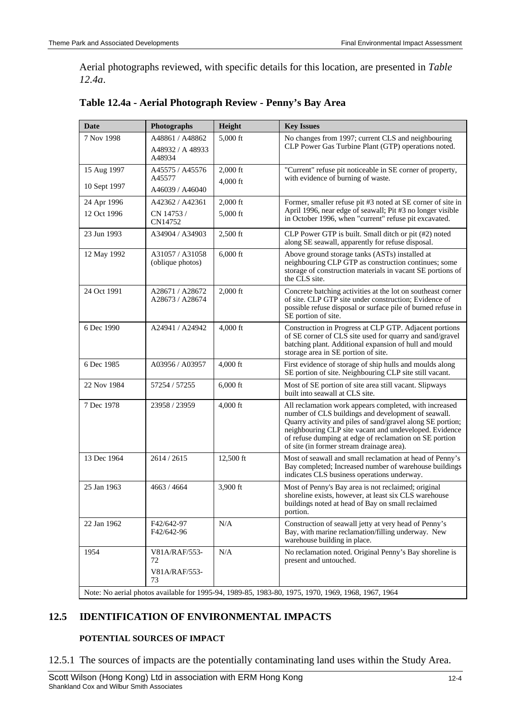Aerial photographs reviewed, with specific details for this location, are presented in *Table 12.4a*.

| <b>Date</b>                                                                                        | <b>Photographs</b>                            | Height                   | <b>Key Issues</b>                                                                                                                                                                                                                                                                                                                            |  |
|----------------------------------------------------------------------------------------------------|-----------------------------------------------|--------------------------|----------------------------------------------------------------------------------------------------------------------------------------------------------------------------------------------------------------------------------------------------------------------------------------------------------------------------------------------|--|
| 7 Nov 1998                                                                                         | A48861 / A48862<br>A48932 / A 48933<br>A48934 | $5,000$ ft               | No changes from 1997; current CLS and neighbouring<br>CLP Power Gas Turbine Plant (GTP) operations noted.                                                                                                                                                                                                                                    |  |
| 15 Aug 1997<br>10 Sept 1997                                                                        | A45575 / A45576<br>A45577<br>A46039 / A46040  | $2,000$ ft<br>$4,000$ ft | "Current" refuse pit noticeable in SE corner of property,<br>with evidence of burning of waste.                                                                                                                                                                                                                                              |  |
| 24 Apr 1996<br>12 Oct 1996                                                                         | A42362 / A42361<br>CN 14753 /<br>CN14752      | $2,000$ ft<br>5,000 ft   | Former, smaller refuse pit #3 noted at SE corner of site in<br>April 1996, near edge of seawall; Pit #3 no longer visible<br>in October 1996, when "current" refuse pit excavated.                                                                                                                                                           |  |
| 23 Jun 1993                                                                                        | A34904 / A34903                               | $2,500$ ft               | CLP Power GTP is built. Small ditch or pit (#2) noted<br>along SE seawall, apparently for refuse disposal.                                                                                                                                                                                                                                   |  |
| 12 May 1992                                                                                        | A31057 / A31058<br>(oblique photos)           | $6,000$ ft               | Above ground storage tanks (ASTs) installed at<br>neighbouring CLP GTP as construction continues; some<br>storage of construction materials in vacant SE portions of<br>the CLS site.                                                                                                                                                        |  |
| 24 Oct 1991                                                                                        | A28671 / A28672<br>A28673 / A28674            | $2,000$ ft               | Concrete batching activities at the lot on southeast corner<br>of site. CLP GTP site under construction; Evidence of<br>possible refuse disposal or surface pile of burned refuse in<br>SE portion of site.                                                                                                                                  |  |
| 6 Dec 1990                                                                                         | A24941 / A24942                               | $4,000$ ft               | Construction in Progress at CLP GTP. Adjacent portions<br>of SE corner of CLS site used for quarry and sand/gravel<br>batching plant. Additional expansion of hull and mould<br>storage area in SE portion of site.                                                                                                                          |  |
| 6 Dec 1985                                                                                         | A03956 / A03957                               | 4,000 ft                 | First evidence of storage of ship hulls and moulds along<br>SE portion of site. Neighbouring CLP site still vacant.                                                                                                                                                                                                                          |  |
| 22 Nov 1984                                                                                        | 57254 / 57255                                 | $6,000$ ft               | Most of SE portion of site area still vacant. Slipways<br>built into seawall at CLS site.                                                                                                                                                                                                                                                    |  |
| 7 Dec 1978                                                                                         | 23958 / 23959                                 | $4,000$ ft               | All reclamation work appears completed, with increased<br>number of CLS buildings and development of seawall.<br>Quarry activity and piles of sand/gravel along SE portion;<br>neighbouring CLP site vacant and undeveloped. Evidence<br>of refuse dumping at edge of reclamation on SE portion<br>of site (in former stream drainage area). |  |
| 13 Dec 1964                                                                                        | 2614 / 2615                                   | 12,500 ft                | Most of seawall and small reclamation at head of Penny's<br>Bay completed; Increased number of warehouse buildings<br>indicates CLS business operations underway.                                                                                                                                                                            |  |
| 25 Jan 1963                                                                                        | 4663 / 4664                                   | 3,900 ft                 | Most of Penny's Bay area is not reclaimed; original<br>shoreline exists, however, at least six CLS warehouse<br>buildings noted at head of Bay on small reclaimed<br>portion.                                                                                                                                                                |  |
| 22 Jan 1962                                                                                        | F42/642-97<br>F42/642-96                      | N/A                      | Construction of seawall jetty at very head of Penny's<br>Bay, with marine reclamation/filling underway. New<br>warehouse building in place.                                                                                                                                                                                                  |  |
| 1954                                                                                               | V81A/RAF/553-<br>72<br>V81A/RAF/553-<br>73    | N/A                      | No reclamation noted. Original Penny's Bay shoreline is<br>present and untouched.                                                                                                                                                                                                                                                            |  |
| Note: No aerial photos available for 1995-94, 1989-85, 1983-80, 1975, 1970, 1969, 1968, 1967, 1964 |                                               |                          |                                                                                                                                                                                                                                                                                                                                              |  |

| Table 12.4a - Aerial Photograph Review - Penny's Bay Area |  |  |  |
|-----------------------------------------------------------|--|--|--|
|                                                           |  |  |  |

# **12.5 IDENTIFICATION OF ENVIRONMENTAL IMPACTS**

#### **POTENTIAL SOURCES OF IMPACT**

12.5.1 The sources of impacts are the potentially contaminating land uses within the Study Area.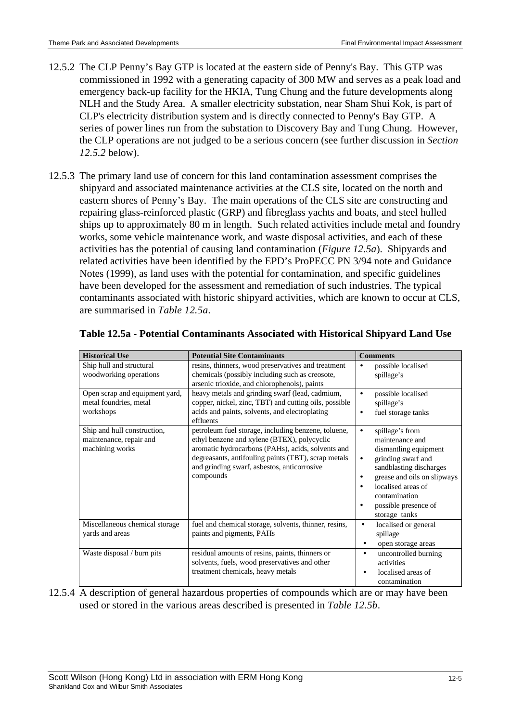- 12.5.2 The CLP Penny's Bay GTP is located at the eastern side of Penny's Bay. This GTP was commissioned in 1992 with a generating capacity of 300 MW and serves as a peak load and emergency back-up facility for the HKIA, Tung Chung and the future developments along NLH and the Study Area. A smaller electricity substation, near Sham Shui Kok, is part of CLP's electricity distribution system and is directly connected to Penny's Bay GTP. A series of power lines run from the substation to Discovery Bay and Tung Chung. However, the CLP operations are not judged to be a serious concern (see further discussion in *Section 12.5.2* below).
- 12.5.3 The primary land use of concern for this land contamination assessment comprises the shipyard and associated maintenance activities at the CLS site, located on the north and eastern shores of Penny's Bay. The main operations of the CLS site are constructing and repairing glass-reinforced plastic (GRP) and fibreglass yachts and boats, and steel hulled ships up to approximately 80 m in length. Such related activities include metal and foundry works, some vehicle maintenance work, and waste disposal activities, and each of these activities has the potential of causing land contamination (*Figure 12.5a*). Shipyards and related activities have been identified by the EPD's ProPECC PN 3/94 note and Guidance Notes (1999), as land uses with the potential for contamination, and specific guidelines have been developed for the assessment and remediation of such industries. The typical contaminants associated with historic shipyard activities, which are known to occur at CLS, are summarised in *Table 12.5a*.

| <b>Historical Use</b>                                                     | <b>Potential Site Contaminants</b>                                                                                                                                                                                                                                         | <b>Comments</b>                                                                                                                                                                                                                                                         |
|---------------------------------------------------------------------------|----------------------------------------------------------------------------------------------------------------------------------------------------------------------------------------------------------------------------------------------------------------------------|-------------------------------------------------------------------------------------------------------------------------------------------------------------------------------------------------------------------------------------------------------------------------|
| Ship hull and structural<br>woodworking operations                        | resins, thinners, wood preservatives and treatment<br>chemicals (possibly including such as creosote,<br>arsenic trioxide, and chlorophenols), paints                                                                                                                      | possible localised<br>$\bullet$<br>spillage's                                                                                                                                                                                                                           |
| Open scrap and equipment yard,<br>metal foundries, metal<br>workshops     | heavy metals and grinding swarf (lead, cadmium,<br>copper, nickel, zinc, TBT) and cutting oils, possible<br>acids and paints, solvents, and electroplating<br>effluents                                                                                                    | possible localised<br>$\bullet$<br>spillage's<br>fuel storage tanks                                                                                                                                                                                                     |
| Ship and hull construction,<br>maintenance, repair and<br>machining works | petroleum fuel storage, including benzene, toluene,<br>ethyl benzene and xylene (BTEX), polycyclic<br>aromatic hydrocarbons (PAHs), acids, solvents and<br>degreasants, antifouling paints (TBT), scrap metals<br>and grinding swarf, asbestos, anticorrosive<br>compounds | spillage's from<br>$\bullet$<br>maintenance and<br>dismantling equipment<br>grinding swarf and<br>$\bullet$<br>sandblasting discharges<br>grease and oils on slipways<br>٠<br>localised areas of<br>contamination<br>possible presence of<br>$\bullet$<br>storage tanks |
| Miscellaneous chemical storage<br>yards and areas                         | fuel and chemical storage, solvents, thinner, resins,<br>paints and pigments, PAHs                                                                                                                                                                                         | localised or general<br>$\bullet$<br>spillage<br>open storage areas<br>$\bullet$                                                                                                                                                                                        |
| Waste disposal / burn pits                                                | residual amounts of resins, paints, thinners or<br>solvents, fuels, wood preservatives and other<br>treatment chemicals, heavy metals                                                                                                                                      | uncontrolled burning<br>$\bullet$<br>activities<br>localised areas of<br>contamination                                                                                                                                                                                  |

#### **Table 12.5a - Potential Contaminants Associated with Historical Shipyard Land Use**

12.5.4 A description of general hazardous properties of compounds which are or may have been used or stored in the various areas described is presented in *Table 12.5b*.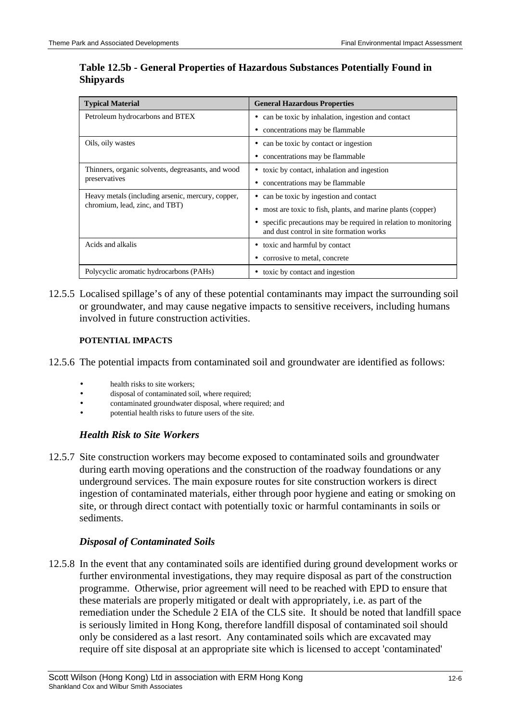| <b>Typical Material</b>                           | <b>General Hazardous Properties</b>                                                                        |  |
|---------------------------------------------------|------------------------------------------------------------------------------------------------------------|--|
| Petroleum hydrocarbons and BTEX                   | can be toxic by inhalation, ingestion and contact                                                          |  |
|                                                   | concentrations may be flammable                                                                            |  |
| Oils, oily wastes                                 | can be toxic by contact or ingestion                                                                       |  |
|                                                   | concentrations may be flammable                                                                            |  |
| Thinners, organic solvents, degreasants, and wood | toxic by contact, inhalation and ingestion                                                                 |  |
| preservatives                                     | concentrations may be flammable                                                                            |  |
| Heavy metals (including arsenic, mercury, copper, | can be toxic by ingestion and contact<br>٠                                                                 |  |
| chromium, lead, zinc, and TBT)                    | most are toxic to fish, plants, and marine plants (copper)                                                 |  |
|                                                   | specific precautions may be required in relation to monitoring<br>and dust control in site formation works |  |
| Acids and alkalis                                 | toxic and harmful by contact                                                                               |  |
|                                                   | corrosive to metal, concrete                                                                               |  |
| Polycyclic aromatic hydrocarbons (PAHs)           | toxic by contact and ingestion                                                                             |  |

# **Table 12.5b - General Properties of Hazardous Substances Potentially Found in Shipyards**

12.5.5 Localised spillage's of any of these potential contaminants may impact the surrounding soil or groundwater, and may cause negative impacts to sensitive receivers, including humans involved in future construction activities.

#### **POTENTIAL IMPACTS**

- 12.5.6 The potential impacts from contaminated soil and groundwater are identified as follows:
	- health risks to site workers;
	- disposal of contaminated soil, where required;
	- contaminated groundwater disposal, where required; and
	- potential health risks to future users of the site.

## *Health Risk to Site Workers*

12.5.7 Site construction workers may become exposed to contaminated soils and groundwater during earth moving operations and the construction of the roadway foundations or any underground services. The main exposure routes for site construction workers is direct ingestion of contaminated materials, either through poor hygiene and eating or smoking on site, or through direct contact with potentially toxic or harmful contaminants in soils or sediments.

## *Disposal of Contaminated Soils*

12.5.8 In the event that any contaminated soils are identified during ground development works or further environmental investigations, they may require disposal as part of the construction programme. Otherwise, prior agreement will need to be reached with EPD to ensure that these materials are properly mitigated or dealt with appropriately, i.e. as part of the remediation under the Schedule 2 EIA of the CLS site. It should be noted that landfill space is seriously limited in Hong Kong, therefore landfill disposal of contaminated soil should only be considered as a last resort. Any contaminated soils which are excavated may require off site disposal at an appropriate site which is licensed to accept 'contaminated'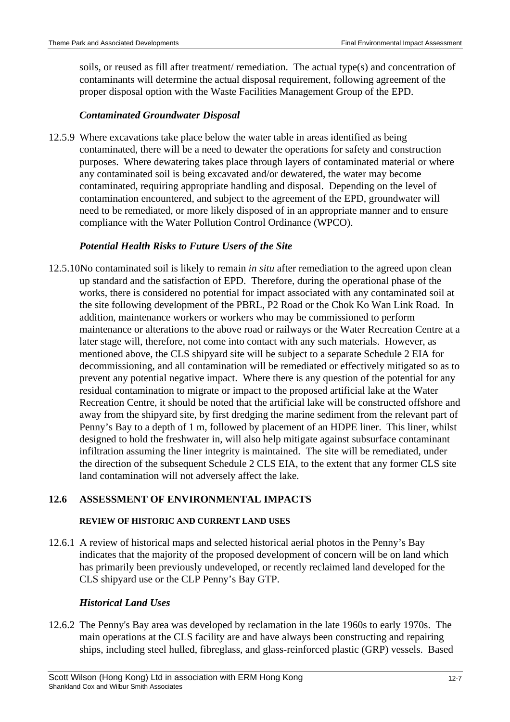soils, or reused as fill after treatment/ remediation. The actual type(s) and concentration of contaminants will determine the actual disposal requirement, following agreement of the proper disposal option with the Waste Facilities Management Group of the EPD.

## *Contaminated Groundwater Disposal*

12.5.9 Where excavations take place below the water table in areas identified as being contaminated, there will be a need to dewater the operations for safety and construction purposes. Where dewatering takes place through layers of contaminated material or where any contaminated soil is being excavated and/or dewatered, the water may become contaminated, requiring appropriate handling and disposal. Depending on the level of contamination encountered, and subject to the agreement of the EPD, groundwater will need to be remediated, or more likely disposed of in an appropriate manner and to ensure compliance with the Water Pollution Control Ordinance (WPCO).

#### *Potential Health Risks to Future Users of the Site*

12.5.10 No contaminated soil is likely to remain *in situ* after remediation to the agreed upon clean up standard and the satisfaction of EPD. Therefore, during the operational phase of the works, there is considered no potential for impact associated with any contaminated soil at the site following development of the PBRL, P2 Road or the Chok Ko Wan Link Road. In addition, maintenance workers or workers who may be commissioned to perform maintenance or alterations to the above road or railways or the Water Recreation Centre at a later stage will, therefore, not come into contact with any such materials. However, as mentioned above, the CLS shipyard site will be subject to a separate Schedule 2 EIA for decommissioning, and all contamination will be remediated or effectively mitigated so as to prevent any potential negative impact. Where there is any question of the potential for any residual contamination to migrate or impact to the proposed artificial lake at the Water Recreation Centre, it should be noted that the artificial lake will be constructed offshore and away from the shipyard site, by first dredging the marine sediment from the relevant part of Penny's Bay to a depth of 1 m, followed by placement of an HDPE liner. This liner, whilst designed to hold the freshwater in, will also help mitigate against subsurface contaminant infiltration assuming the liner integrity is maintained. The site will be remediated, under the direction of the subsequent Schedule 2 CLS EIA, to the extent that any former CLS site land contamination will not adversely affect the lake.

## **12.6 ASSESSMENT OF ENVIRONMENTAL IMPACTS**

#### **REVIEW OF HISTORIC AND CURRENT LAND USES**

12.6.1 A review of historical maps and selected historical aerial photos in the Penny's Bay indicates that the majority of the proposed development of concern will be on land which has primarily been previously undeveloped, or recently reclaimed land developed for the CLS shipyard use or the CLP Penny's Bay GTP.

## *Historical Land Uses*

12.6.2 The Penny's Bay area was developed by reclamation in the late 1960s to early 1970s. The main operations at the CLS facility are and have always been constructing and repairing ships, including steel hulled, fibreglass, and glass-reinforced plastic (GRP) vessels. Based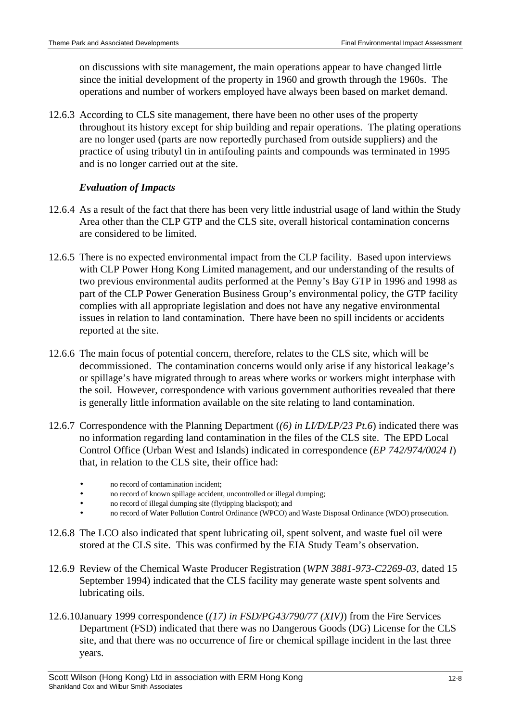on discussions with site management, the main operations appear to have changed little since the initial development of the property in 1960 and growth through the 1960s. The operations and number of workers employed have always been based on market demand.

12.6.3 According to CLS site management, there have been no other uses of the property throughout its history except for ship building and repair operations. The plating operations are no longer used (parts are now reportedly purchased from outside suppliers) and the practice of using tributyl tin in antifouling paints and compounds was terminated in 1995 and is no longer carried out at the site.

#### *Evaluation of Impacts*

- 12.6.4 As a result of the fact that there has been very little industrial usage of land within the Study Area other than the CLP GTP and the CLS site, overall historical contamination concerns are considered to be limited.
- 12.6.5 There is no expected environmental impact from the CLP facility. Based upon interviews with CLP Power Hong Kong Limited management, and our understanding of the results of two previous environmental audits performed at the Penny's Bay GTP in 1996 and 1998 as part of the CLP Power Generation Business Group's environmental policy, the GTP facility complies with all appropriate legislation and does not have any negative environmental issues in relation to land contamination. There have been no spill incidents or accidents reported at the site.
- 12.6.6 The main focus of potential concern, therefore, relates to the CLS site, which will be decommissioned. The contamination concerns would only arise if any historical leakage's or spillage's have migrated through to areas where works or workers might interphase with the soil. However, correspondence with various government authorities revealed that there is generally little information available on the site relating to land contamination.
- 12.6.7 Correspondence with the Planning Department (*(6) in LI/D/LP/23 Pt.6*) indicated there was no information regarding land contamination in the files of the CLS site. The EPD Local Control Office (Urban West and Islands) indicated in correspondence (*EP 742/974/0024 I*) that, in relation to the CLS site, their office had:
	- no record of contamination incident:
	- no record of known spillage accident, uncontrolled or illegal dumping:
	- no record of illegal dumping site (flytipping blackspot); and
	- no record of Water Pollution Control Ordinance (WPCO) and Waste Disposal Ordinance (WDO) prosecution.
- 12.6.8 The LCO also indicated that spent lubricating oil, spent solvent, and waste fuel oil were stored at the CLS site. This was confirmed by the EIA Study Team's observation.
- 12.6.9 Review of the Chemical Waste Producer Registration (*WPN 3881-973-C2269-03,* dated 15 September 1994) indicated that the CLS facility may generate waste spent solvents and lubricating oils.
- 12.6.10 January 1999 correspondence (*(17) in FSD/PG43/790/77 (XIV)*) from the Fire Services Department (FSD) indicated that there was no Dangerous Goods (DG) License for the CLS site, and that there was no occurrence of fire or chemical spillage incident in the last three years.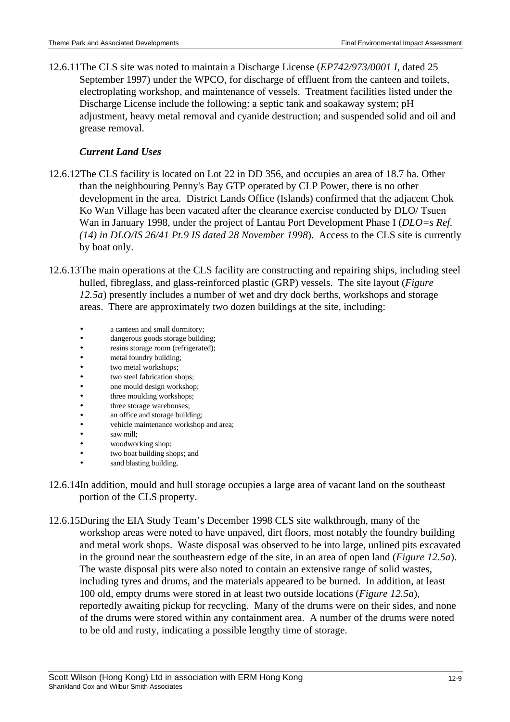12.6.11 The CLS site was noted to maintain a Discharge License (*EP742/973/0001 I*, dated 25 September 1997) under the WPCO, for discharge of effluent from the canteen and toilets, electroplating workshop, and maintenance of vessels. Treatment facilities listed under the Discharge License include the following: a septic tank and soakaway system; pH adjustment, heavy metal removal and cyanide destruction; and suspended solid and oil and grease removal.

# *Current Land Uses*

- 12.6.12 The CLS facility is located on Lot 22 in DD 356, and occupies an area of 18.7 ha. Other than the neighbouring Penny's Bay GTP operated by CLP Power, there is no other development in the area. District Lands Office (Islands) confirmed that the adjacent Chok Ko Wan Village has been vacated after the clearance exercise conducted by DLO/ Tsuen Wan in January 1998, under the project of Lantau Port Development Phase I (*DLO=s Ref. (14) in DLO/IS 26/41 Pt.9 IS dated 28 November 1998*). Access to the CLS site is currently by boat only.
- 12.6.13 The main operations at the CLS facility are constructing and repairing ships, including steel hulled, fibreglass, and glass-reinforced plastic (GRP) vessels. The site layout (*Figure 12.5a*) presently includes a number of wet and dry dock berths, workshops and storage areas. There are approximately two dozen buildings at the site, including:
	- a canteen and small dormitory;
	- dangerous goods storage building;
	- resins storage room (refrigerated);
	- metal foundry building;
	- two metal workshops;
	- two steel fabrication shops;
	- one mould design workshop;
	- three moulding workshops;
	- three storage warehouses;
	- an office and storage building;
	- vehicle maintenance workshop and area;
	- saw mill:
	- woodworking shop;
	- two boat building shops; and
	- sand blasting building.
- 12.6.14 In addition, mould and hull storage occupies a large area of vacant land on the southeast portion of the CLS property.
- 12.6.15 During the EIA Study Team's December 1998 CLS site walkthrough, many of the workshop areas were noted to have unpaved, dirt floors, most notably the foundry building and metal work shops. Waste disposal was observed to be into large, unlined pits excavated in the ground near the southeastern edge of the site, in an area of open land (*Figure 12.5a*). The waste disposal pits were also noted to contain an extensive range of solid wastes, including tyres and drums, and the materials appeared to be burned. In addition, at least 100 old, empty drums were stored in at least two outside locations (*Figure 12.5a*), reportedly awaiting pickup for recycling. Many of the drums were on their sides, and none of the drums were stored within any containment area. A number of the drums were noted to be old and rusty, indicating a possible lengthy time of storage.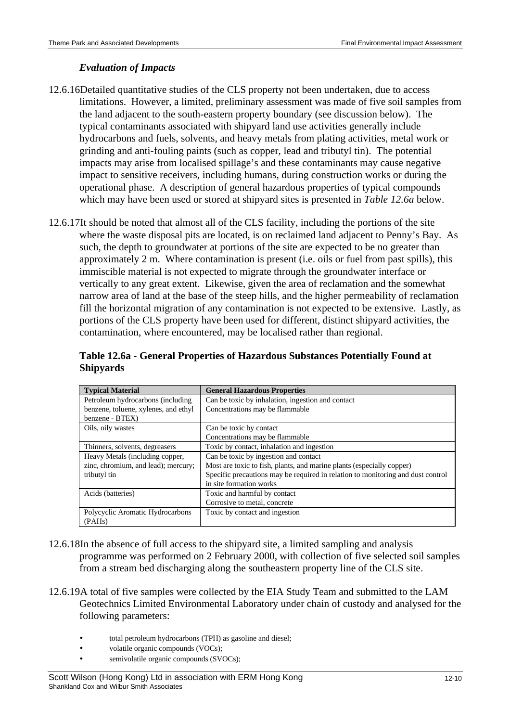# *Evaluation of Impacts*

- 12.6.16 Detailed quantitative studies of the CLS property not been undertaken, due to access limitations. However, a limited, preliminary assessment was made of five soil samples from the land adjacent to the south-eastern property boundary (see discussion below). The typical contaminants associated with shipyard land use activities generally include hydrocarbons and fuels, solvents, and heavy metals from plating activities, metal work or grinding and anti-fouling paints (such as copper, lead and tributyl tin). The potential impacts may arise from localised spillage's and these contaminants may cause negative impact to sensitive receivers, including humans, during construction works or during the operational phase. A description of general hazardous properties of typical compounds which may have been used or stored at shipyard sites is presented in *Table 12.6a* below.
- 12.6.17 It should be noted that almost all of the CLS facility, including the portions of the site where the waste disposal pits are located, is on reclaimed land adjacent to Penny's Bay. As such, the depth to groundwater at portions of the site are expected to be no greater than approximately 2 m. Where contamination is present (i.e. oils or fuel from past spills), this immiscible material is not expected to migrate through the groundwater interface or vertically to any great extent. Likewise, given the area of reclamation and the somewhat narrow area of land at the base of the steep hills, and the higher permeability of reclamation fill the horizontal migration of any contamination is not expected to be extensive. Lastly, as portions of the CLS property have been used for different, distinct shipyard activities, the contamination, where encountered, may be localised rather than regional.

| <b>Typical Material</b>              | <b>General Hazardous Properties</b>                                             |  |
|--------------------------------------|---------------------------------------------------------------------------------|--|
| Petroleum hydrocarbons (including    | Can be toxic by inhalation, ingestion and contact                               |  |
| benzene, toluene, xylenes, and ethyl | Concentrations may be flammable                                                 |  |
| benzene - BTEX)                      |                                                                                 |  |
| Oils, oily wastes                    | Can be toxic by contact                                                         |  |
|                                      | Concentrations may be flammable                                                 |  |
| Thinners, solvents, degreasers       | Toxic by contact, inhalation and ingestion                                      |  |
| Heavy Metals (including copper,      | Can be toxic by ingestion and contact                                           |  |
| zinc, chromium, and lead); mercury;  | Most are toxic to fish, plants, and marine plants (especially copper)           |  |
| tributyl tin                         | Specific precautions may be required in relation to monitoring and dust control |  |
|                                      | in site formation works                                                         |  |
| Acids (batteries)                    | Toxic and harmful by contact                                                    |  |
|                                      | Corrosive to metal, concrete                                                    |  |
| Polycyclic Aromatic Hydrocarbons     | Toxic by contact and ingestion                                                  |  |
| (PAH <sub>s</sub> )                  |                                                                                 |  |

**Table 12.6a - General Properties of Hazardous Substances Potentially Found at Shipyards**

- 12.6.18 In the absence of full access to the shipyard site, a limited sampling and analysis programme was performed on 2 February 2000, with collection of five selected soil samples from a stream bed discharging along the southeastern property line of the CLS site.
- 12.6.19A total of five samples were collected by the EIA Study Team and submitted to the LAM Geotechnics Limited Environmental Laboratory under chain of custody and analysed for the following parameters:
	- total petroleum hydrocarbons (TPH) as gasoline and diesel;
	- volatile organic compounds (VOCs);
	- semivolatile organic compounds (SVOCs);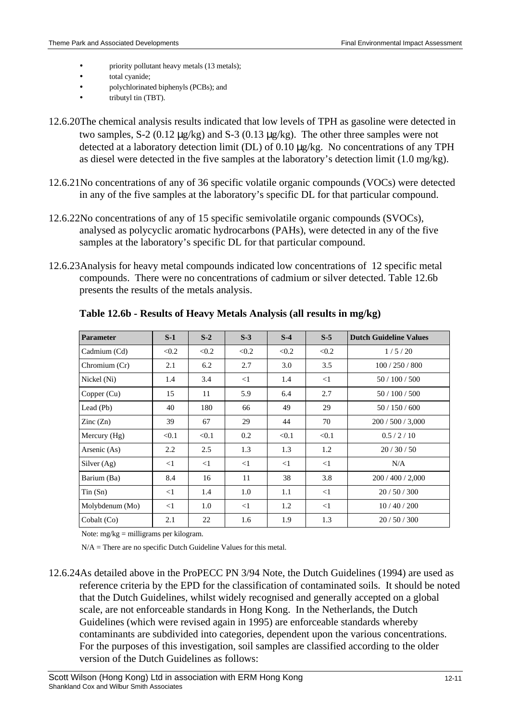- priority pollutant heavy metals (13 metals);
- total cyanide;
- polychlorinated biphenyls (PCBs); and
- tributyl tin (TBT).
- 12.6.20 The chemical analysis results indicated that low levels of TPH as gasoline were detected in two samples, S-2 (0.12 µg/kg) and S-3 (0.13 µg/kg). The other three samples were not detected at a laboratory detection limit (DL) of 0.10 µg/kg. No concentrations of any TPH as diesel were detected in the five samples at the laboratory's detection limit (1.0 mg/kg).
- 12.6.21 No concentrations of any of 36 specific volatile organic compounds (VOCs) were detected in any of the five samples at the laboratory's specific DL for that particular compound.
- 12.6.22 No concentrations of any of 15 specific semivolatile organic compounds (SVOCs), analysed as polycyclic aromatic hydrocarbons (PAHs), were detected in any of the five samples at the laboratory's specific DL for that particular compound.
- 12.6.23 Analysis for heavy metal compounds indicated low concentrations of 12 specific metal compounds. There were no concentrations of cadmium or silver detected. Table 12.6b presents the results of the metals analysis.

| <b>Parameter</b>         | $S-1$    | $S-2$    | $S-3$    | $S-4$    | $S-5$    | <b>Dutch Guideline Values</b> |
|--------------------------|----------|----------|----------|----------|----------|-------------------------------|
| Cadmium (Cd)             | < 0.2    | < 0.2    | < 0.2    | < 0.2    | < 0.2    | 1/5/20                        |
| Chromium (Cr)            | 2.1      | 6.2      | 2.7      | 3.0      | 3.5      | 100/250/800                   |
| Nickel (Ni)              | 1.4      | 3.4      | $\leq$ 1 | 1.4      | $\leq$ 1 | 50 / 100 / 500                |
| Copper $(Cu)$            | 15       | 11       | 5.9      | 6.4      | 2.7      | 50 / 100 / 500                |
| Lead (Pb)                | 40       | 180      | 66       | 49       | 29       | 50/150/600                    |
| $\text{Zinc}(\text{Zn})$ | 39       | 67       | 29       | 44       | 70       | 200/500/3,000                 |
| Mercury $(Hg)$           | < 0.1    | < 0.1    | 0.2      | < 0.1    | < 0.1    | 0.5/2/10                      |
| Arsenic (As)             | 2.2      | 2.5      | 1.3      | 1.3      | 1.2      | 20/30/50                      |
| Silver $(Ag)$            | $\leq$ 1 | $\leq$ 1 | $\leq$ 1 | $\leq$ 1 | $\leq$ 1 | N/A                           |
| Barium (Ba)              | 8.4      | 16       | 11       | 38       | 3.8      | 200/400/2,000                 |
| Tin(Sn)                  | $\leq$ 1 | 1.4      | 1.0      | 1.1      | $\leq$ 1 | 20/50/300                     |
| Molybdenum (Mo)          | $\leq$ 1 | 1.0      | $\leq$ 1 | 1.2      | $\leq$ 1 | 10/40/200                     |
| Cobalt (Co)              | 2.1      | 22       | 1.6      | 1.9      | 1.3      | 20/50/300                     |

**Table 12.6b - Results of Heavy Metals Analysis (all results in mg/kg)**

Note: mg/kg = milligrams per kilogram.

N/A = There are no specific Dutch Guideline Values for this metal.

12.6.24 As detailed above in the ProPECC PN 3/94 Note, the Dutch Guidelines (1994) are used as reference criteria by the EPD for the classification of contaminated soils. It should be noted that the Dutch Guidelines, whilst widely recognised and generally accepted on a global scale, are not enforceable standards in Hong Kong. In the Netherlands, the Dutch Guidelines (which were revised again in 1995) are enforceable standards whereby contaminants are subdivided into categories, dependent upon the various concentrations. For the purposes of this investigation, soil samples are classified according to the older version of the Dutch Guidelines as follows: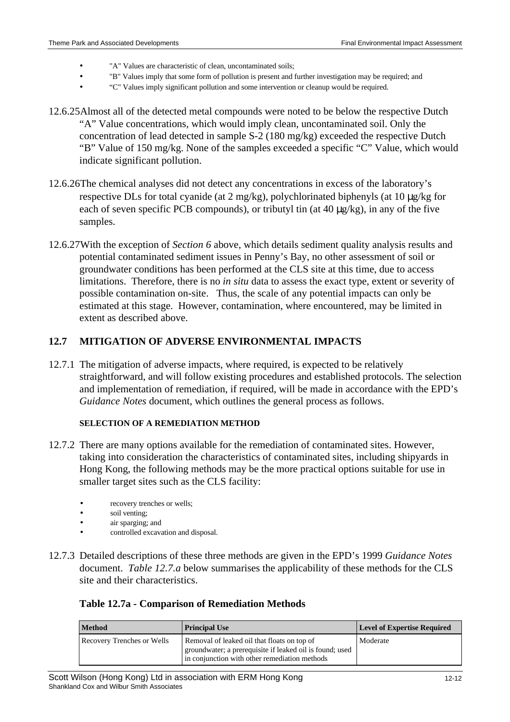- "A" Values are characteristic of clean, uncontaminated soils;
- "B" Values imply that some form of pollution is present and further investigation may be required; and
- "C" Values imply significant pollution and some intervention or cleanup would be required.
- 12.6.25 Almost all of the detected metal compounds were noted to be below the respective Dutch "A" Value concentrations, which would imply clean, uncontaminated soil. Only the concentration of lead detected in sample S-2 (180 mg/kg) exceeded the respective Dutch "B" Value of 150 mg/kg. None of the samples exceeded a specific "C" Value, which would indicate significant pollution.
- 12.6.26 The chemical analyses did not detect any concentrations in excess of the laboratory's respective DLs for total cyanide (at 2 mg/kg), polychlorinated biphenyls (at 10 µg/kg for each of seven specific PCB compounds), or tributyl tin (at  $40 \mu g/kg$ ), in any of the five samples.
- 12.6.27 With the exception of *Section 6* above, which details sediment quality analysis results and potential contaminated sediment issues in Penny's Bay, no other assessment of soil or groundwater conditions has been performed at the CLS site at this time, due to access limitations. Therefore, there is no *in situ* data to assess the exact type, extent or severity of possible contamination on-site. Thus, the scale of any potential impacts can only be estimated at this stage. However, contamination, where encountered, may be limited in extent as described above.

#### **12.7 MITIGATION OF ADVERSE ENVIRONMENTAL IMPACTS**

12.7.1 The mitigation of adverse impacts, where required, is expected to be relatively straightforward, and will follow existing procedures and established protocols. The selection and implementation of remediation, if required, will be made in accordance with the EPD's *Guidance Notes* document, which outlines the general process as follows.

#### **SELECTION OF A REMEDIATION METHOD**

- 12.7.2 There are many options available for the remediation of contaminated sites. However, taking into consideration the characteristics of contaminated sites, including shipyards in Hong Kong, the following methods may be the more practical options suitable for use in smaller target sites such as the CLS facility:
	- recovery trenches or wells;
	- soil venting:
	- air sparging; and
	- controlled excavation and disposal.
- 12.7.3 Detailed descriptions of these three methods are given in the EPD's 1999 *Guidance Notes* document. *Table 12.7.a* below summarises the applicability of these methods for the CLS site and their characteristics.

#### **Table 12.7a - Comparison of Remediation Methods**

| <b>Method</b>                     | <b>Principal Use</b>                                                                                                                                     | <b>Level of Expertise Required</b> |
|-----------------------------------|----------------------------------------------------------------------------------------------------------------------------------------------------------|------------------------------------|
| <b>Recovery Trenches or Wells</b> | Removal of leaked oil that floats on top of<br>groundwater; a prerequisite if leaked oil is found; used<br>in conjunction with other remediation methods | Moderate                           |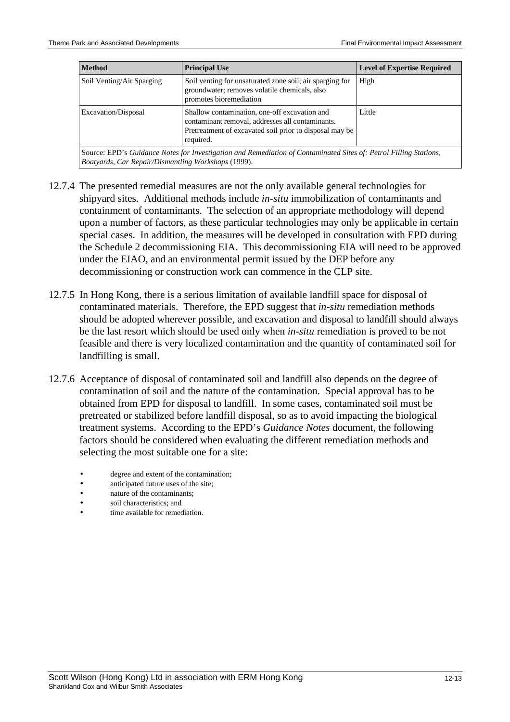| <b>Method</b>                                                                                                                                                                                    | <b>Principal Use</b>                                                                                                                 | <b>Level of Expertise Required</b> |  |  |
|--------------------------------------------------------------------------------------------------------------------------------------------------------------------------------------------------|--------------------------------------------------------------------------------------------------------------------------------------|------------------------------------|--|--|
| Soil Venting/Air Sparging                                                                                                                                                                        | Soil venting for unsaturated zone soil; air sparging for<br>groundwater; removes volatile chemicals, also<br>promotes bioremediation | High                               |  |  |
| Shallow contamination, one-off excavation and<br>Excavation/Disposal<br>contaminant removal, addresses all contaminants.<br>Pretreatment of excavated soil prior to disposal may be<br>required. |                                                                                                                                      | Little                             |  |  |
| Source: EPD's Guidance Notes for Investigation and Remediation of Contaminated Sites of: Petrol Filling Stations.                                                                                |                                                                                                                                      |                                    |  |  |

Source: EPD's *Guidance Notes for Investigation and Remediation of Contaminated Sites of: Petrol Filling Stations, Boatyards, Car Repair/Dismantling Workshops* (1999).

- 12.7.4 The presented remedial measures are not the only available general technologies for shipyard sites. Additional methods include *in-situ* immobilization of contaminants and containment of contaminants. The selection of an appropriate methodology will depend upon a number of factors, as these particular technologies may only be applicable in certain special cases. In addition, the measures will be developed in consultation with EPD during the Schedule 2 decommissioning EIA. This decommissioning EIA will need to be approved under the EIAO, and an environmental permit issued by the DEP before any decommissioning or construction work can commence in the CLP site.
- 12.7.5 In Hong Kong, there is a serious limitation of available landfill space for disposal of contaminated materials. Therefore, the EPD suggest that *in-situ* remediation methods should be adopted wherever possible, and excavation and disposal to landfill should always be the last resort which should be used only when *in-situ* remediation is proved to be not feasible and there is very localized contamination and the quantity of contaminated soil for landfilling is small.
- 12.7.6 Acceptance of disposal of contaminated soil and landfill also depends on the degree of contamination of soil and the nature of the contamination. Special approval has to be obtained from EPD for disposal to landfill. In some cases, contaminated soil must be pretreated or stabilized before landfill disposal, so as to avoid impacting the biological treatment systems. According to the EPD's *Guidance Notes* document, the following factors should be considered when evaluating the different remediation methods and selecting the most suitable one for a site:
	- degree and extent of the contamination;
	- anticipated future uses of the site;
	- nature of the contaminants;
	- soil characteristics; and
	- time available for remediation.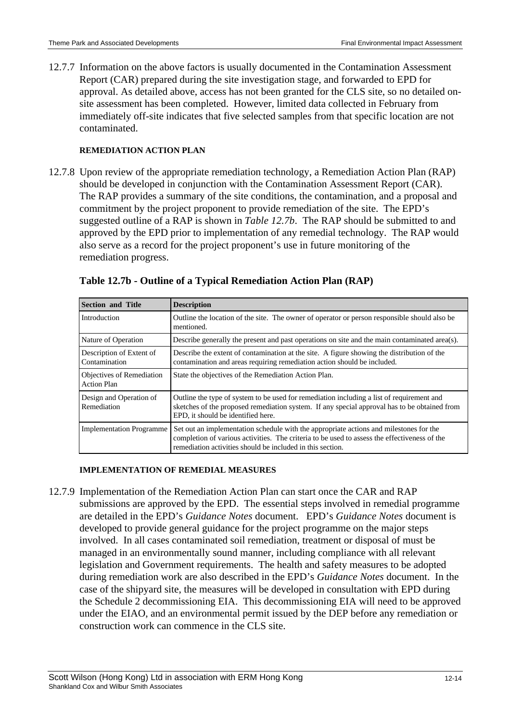12.7.7 Information on the above factors is usually documented in the Contamination Assessment Report (CAR) prepared during the site investigation stage, and forwarded to EPD for approval. As detailed above, access has not been granted for the CLS site, so no detailed onsite assessment has been completed. However, limited data collected in February from immediately off-site indicates that five selected samples from that specific location are not contaminated.

#### **REMEDIATION ACTION PLAN**

12.7.8 Upon review of the appropriate remediation technology, a Remediation Action Plan (RAP) should be developed in conjunction with the Contamination Assessment Report (CAR). The RAP provides a summary of the site conditions, the contamination, and a proposal and commitment by the project proponent to provide remediation of the site. The EPD's suggested outline of a RAP is shown in *Table 12.7b*. The RAP should be submitted to and approved by the EPD prior to implementation of any remedial technology. The RAP would also serve as a record for the project proponent's use in future monitoring of the remediation progress.

| <b>Section and Title</b>                        | <b>Description</b>                                                                                                                                                                                                                                   |
|-------------------------------------------------|------------------------------------------------------------------------------------------------------------------------------------------------------------------------------------------------------------------------------------------------------|
| Introduction                                    | Outline the location of the site. The owner of operator or person responsible should also be<br>mentioned.                                                                                                                                           |
| Nature of Operation                             | Describe generally the present and past operations on site and the main contaminated area(s).                                                                                                                                                        |
| Description of Extent of<br>Contamination       | Describe the extent of contamination at the site. A figure showing the distribution of the<br>contamination and areas requiring remediation action should be included.                                                                               |
| Objectives of Remediation<br><b>Action Plan</b> | State the objectives of the Remediation Action Plan.                                                                                                                                                                                                 |
| Design and Operation of<br>Remediation          | Outline the type of system to be used for remediation including a list of requirement and<br>sketches of the proposed remediation system. If any special approval has to be obtained from<br>EPD, it should be identified here.                      |
| <b>Implementation Programme</b>                 | Set out an implementation schedule with the appropriate actions and milestones for the<br>completion of various activities. The criteria to be used to assess the effectiveness of the<br>remediation activities should be included in this section. |

#### **Table 12.7b - Outline of a Typical Remediation Action Plan (RAP)**

#### **IMPLEMENTATION OF REMEDIAL MEASURES**

12.7.9 Implementation of the Remediation Action Plan can start once the CAR and RAP submissions are approved by the EPD. The essential steps involved in remedial programme are detailed in the EPD's *Guidance Notes* document. EPD's *Guidance Notes* document is developed to provide general guidance for the project programme on the major steps involved. In all cases contaminated soil remediation, treatment or disposal of must be managed in an environmentally sound manner, including compliance with all relevant legislation and Government requirements. The health and safety measures to be adopted during remediation work are also described in the EPD's *Guidance Notes* document. In the case of the shipyard site, the measures will be developed in consultation with EPD during the Schedule 2 decommissioning EIA. This decommissioning EIA will need to be approved under the EIAO, and an environmental permit issued by the DEP before any remediation or construction work can commence in the CLS site.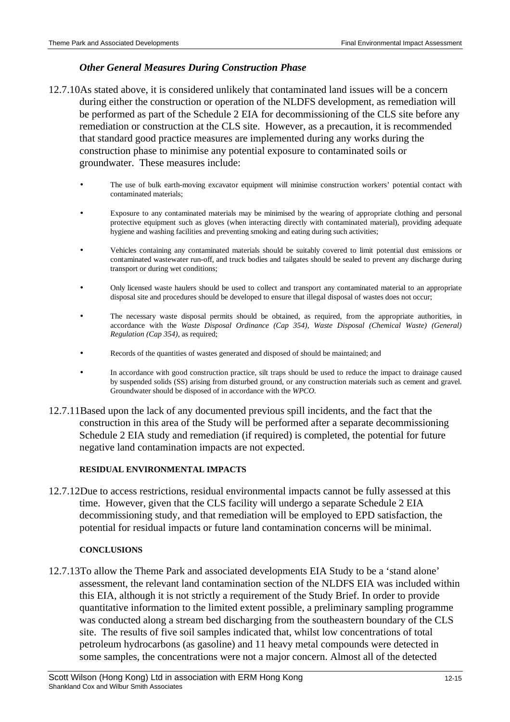#### *Other General Measures During Construction Phase*

- 12.7.10 As stated above, it is considered unlikely that contaminated land issues will be a concern during either the construction or operation of the NLDFS development, as remediation will be performed as part of the Schedule 2 EIA for decommissioning of the CLS site before any remediation or construction at the CLS site. However, as a precaution, it is recommended that standard good practice measures are implemented during any works during the construction phase to minimise any potential exposure to contaminated soils or groundwater. These measures include:
	- The use of bulk earth-moving excavator equipment will minimise construction workers' potential contact with contaminated materials;
	- Exposure to any contaminated materials may be minimised by the wearing of appropriate clothing and personal protective equipment such as gloves (when interacting directly with contaminated material), providing adequate hygiene and washing facilities and preventing smoking and eating during such activities;
	- Vehicles containing any contaminated materials should be suitably covered to limit potential dust emissions or contaminated wastewater run-off, and truck bodies and tailgates should be sealed to prevent any discharge during transport or during wet conditions;
	- Only licensed waste haulers should be used to collect and transport any contaminated material to an appropriate disposal site and procedures should be developed to ensure that illegal disposal of wastes does not occur;
	- The necessary waste disposal permits should be obtained, as required, from the appropriate authorities, in accordance with the *Waste Disposal Ordinance (Cap 354)*, *Waste Disposal (Chemical Waste) (General) Regulation (Cap 354),* as required;
	- Records of the quantities of wastes generated and disposed of should be maintained; and
	- In accordance with good construction practice, silt traps should be used to reduce the impact to drainage caused by suspended solids (SS) arising from disturbed ground, or any construction materials such as cement and gravel. Groundwater should be disposed of in accordance with the *WPCO*.
- 12.7.11 Based upon the lack of any documented previous spill incidents, and the fact that the construction in this area of the Study will be performed after a separate decommissioning Schedule 2 EIA study and remediation (if required) is completed, the potential for future negative land contamination impacts are not expected.

#### **RESIDUAL ENVIRONMENTAL IMPACTS**

12.7.12 Due to access restrictions, residual environmental impacts cannot be fully assessed at this time. However, given that the CLS facility will undergo a separate Schedule 2 EIA decommissioning study, and that remediation will be employed to EPD satisfaction, the potential for residual impacts or future land contamination concerns will be minimal.

#### **CONCLUSIONS**

12.7.13 To allow the Theme Park and associated developments EIA Study to be a 'stand alone' assessment, the relevant land contamination section of the NLDFS EIA was included within this EIA, although it is not strictly a requirement of the Study Brief. In order to provide quantitative information to the limited extent possible, a preliminary sampling programme was conducted along a stream bed discharging from the southeastern boundary of the CLS site. The results of five soil samples indicated that, whilst low concentrations of total petroleum hydrocarbons (as gasoline) and 11 heavy metal compounds were detected in some samples, the concentrations were not a major concern. Almost all of the detected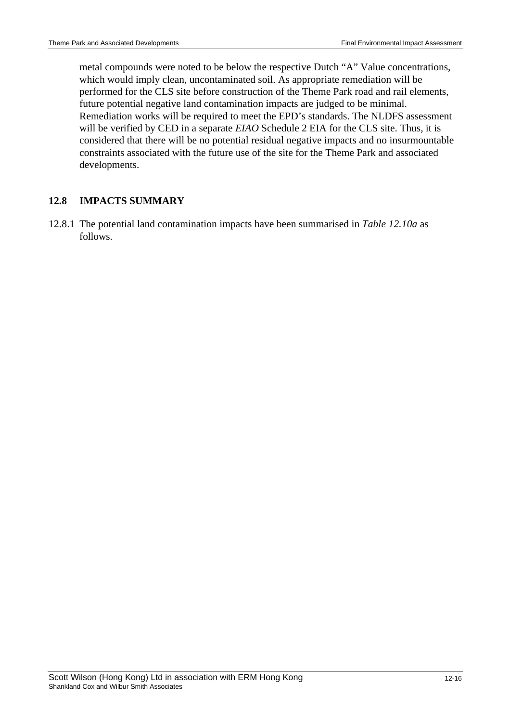metal compounds were noted to be below the respective Dutch "A" Value concentrations, which would imply clean, uncontaminated soil. As appropriate remediation will be performed for the CLS site before construction of the Theme Park road and rail elements, future potential negative land contamination impacts are judged to be minimal. Remediation works will be required to meet the EPD's standards. The NLDFS assessment will be verified by CED in a separate *EIAO* Schedule 2 EIA for the CLS site. Thus, it is considered that there will be no potential residual negative impacts and no insurmountable constraints associated with the future use of the site for the Theme Park and associated developments.

#### **12.8 IMPACTS SUMMARY**

12.8.1 The potential land contamination impacts have been summarised in *Table 12.10a* as follows.